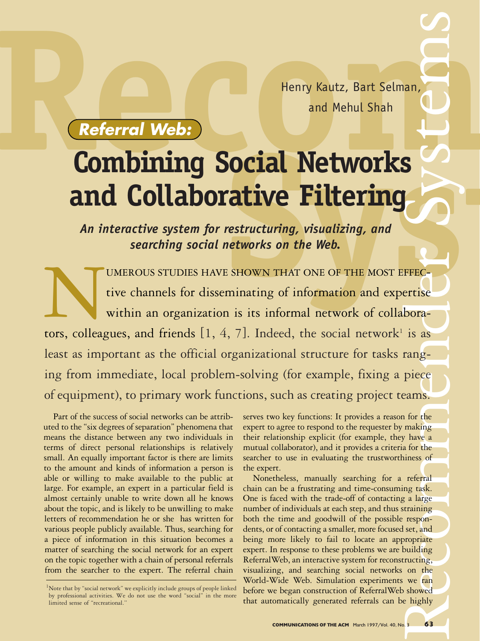Henry Kautz, Bart Selman, and Mehul Shah

## **Referral Web: Social Networks**<br> **Social Networks**<br> **Sustainally and**<br> **SHOWN THAT ONE OF THE MOST EFFECTION CONDUCTED**<br> **E SHOWN THAT ONE OF THE MOST EFFECTION Combining Social Networks and Collaborative Filtering**

*An interactive system for restructuring, visualizing, and searching social networks on the Web.*

S<br>
S<br>
S<br>
Recommender Systems<br>
S<br>
THEC-<br>
Extractions<br>
is as<br>
rang-<br>
piece<br>
earns.<br>
n for the making<br>
piece<br>
afor the making<br>
a for the making<br>
a for the making<br>
a for the making<br>
a for the miness of<br>
referral mg task.<br>
a la UMEROUS STUDIES HAVE SHOWN THAT ONE OF THE MOST EFFEC-<br>tive channels for disseminating of information and expertise<br>within an organization is its informal network of collabora-<br>tors, colleagues, and friends [1, 4, 7]. Inde tive channels for disseminating of information and expertise within an organization is its informal network of collaboraleast as important as the official organizational structure for tasks ranging from immediate, local problem-solving (for example, fixing a piece of equipment), to primary work functions, such as creating project teams.

Part of the success of social networks can be attributed to the "six degrees of separation'' phenomena that means the distance between any two individuals in terms of direct personal relationships is relatively small. An equally important factor is there are limits to the amount and kinds of information a person is able or willing to make available to the public at large. For example, an expert in a particular field is almost certainly unable to write down all he knows about the topic, and is likely to be unwilling to make letters of recommendation he or she has written for various people publicly available. Thus, searching for a piece of information in this situation becomes a matter of searching the social network for an expert on the topic together with a chain of personal referrals from the searcher to the expert. The referral chain

**Referral Web:**

serves two key functions: It provides a reason for the expert to agree to respond to the requester by making their relationship explicit (for example, they have a mutual collaborator), and it provides a criteria for the searcher to use in evaluating the trustworthiness of the expert.

Nonetheless, manually searching for a referral chain can be a frustrating and time-consuming task. One is faced with the trade-off of contacting a large number of individuals at each step, and thus straining both the time and goodwill of the possible respondents, or of contacting a smaller, more focused set, and being more likely to fail to locate an appropriate expert. In response to these problems we are building ReferralWeb, an interactive system for reconstructing, visualizing, and searching social networks on the World-Wide Web. Simulation experiments we ran before we began construction of ReferralWeb showed that automatically generated referrals can be highly

<sup>&</sup>lt;sup>1</sup>Note that by "social network" we explicitly include groups of people linked by professional activities. We do not use the word "social" in the more limited sense of "recreational.''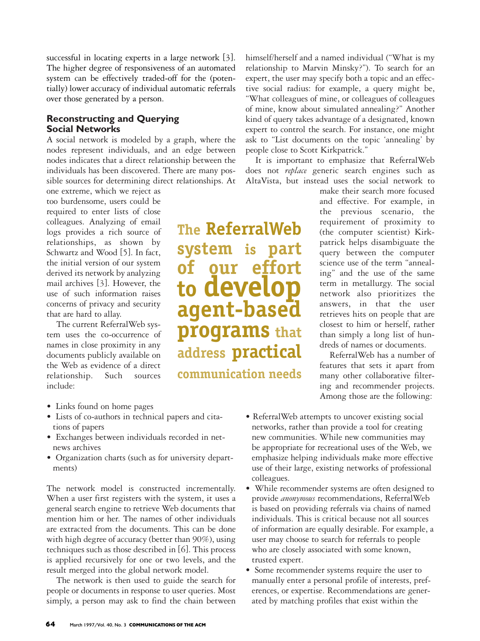successful in locating experts in a large network [3]. The higher degree of responsiveness of an automated system can be effectively traded-off for the (potentially) lower accuracy of individual automatic referrals over those generated by a person.

## **Reconstructing and Querying Social Networks**

A social network is modeled by a graph, where the nodes represent individuals, and an edge between nodes indicates that a direct relationship between the individuals has been discovered. There are many possible sources for determining direct relationships. At

one extreme, which we reject as too burdensome, users could be required to enter lists of close colleagues. Analyzing of email logs provides a rich source of relationships, as shown by Schwartz and Wood [5]. In fact, the initial version of our system derived its network by analyzing mail archives [3]. However, the use of such information raises concerns of privacy and security that are hard to allay.

The current ReferralWeb system uses the co-occurrence of names in close proximity in any documents publicly available on the Web as evidence of a direct relationship. Such sources include:

- Links found on home pages
- Lists of co-authors in technical papers and citations of papers
- Exchanges between individuals recorded in netnews archives
- Organization charts (such as for university departments)

The network model is constructed incrementally. When a user first registers with the system, it uses a general search engine to retrieve Web documents that mention him or her. The names of other individuals are extracted from the documents. This can be done with high degree of accuracy (better than 90%), using techniques such as those described in [6]. This process is applied recursively for one or two levels, and the result merged into the global network model.

The network is then used to guide the search for people or documents in response to user queries. Most simply, a person may ask to find the chain between

himself/herself and a named individual ("What is my relationship to Marvin Minsky?''). To search for an expert, the user may specify both a topic and an effective social radius: for example, a query might be, "What colleagues of mine, or colleagues of colleagues of mine, know about simulated annealing?'' Another kind of query takes advantage of a designated, known expert to control the search. For instance, one might ask to "List documents on the topic 'annealing' by people close to Scott Kirkpatrick.''

It is important to emphasize that ReferralWeb does not *replace* generic search engines such as AltaVista, but instead uses the social network to

## **The ReferralWeb system is part of our effort to develop agent-based programs that address practical communication needs**

science use of the term "annealing'' and the use of the same term in metallurgy. The social network also prioritizes the answers, in that the user retrieves hits on people that are closest to him or herself, rather than simply a long list of hundreds of names or documents. ReferralWeb has a number of

make their search more focused and effective. For example, in the previous scenario, the requirement of proximity to (the computer scientist) Kirkpatrick helps disambiguate the query between the computer

features that sets it apart from many other collaborative filtering and recommender projects. Among those are the following:

- ReferralWeb attempts to uncover existing social networks, rather than provide a tool for creating new communities. While new communities may be appropriate for recreational uses of the Web, we emphasize helping individuals make more effective use of their large, existing networks of professional colleagues.
- While recommender systems are often designed to provide *anonymous* recommendations, ReferralWeb is based on providing referrals via chains of named individuals. This is critical because not all sources of information are equally desirable. For example, a user may choose to search for referrals to people who are closely associated with some known, trusted expert.
- Some recommender systems require the user to manually enter a personal profile of interests, preferences, or expertise. Recommendations are generated by matching profiles that exist within the